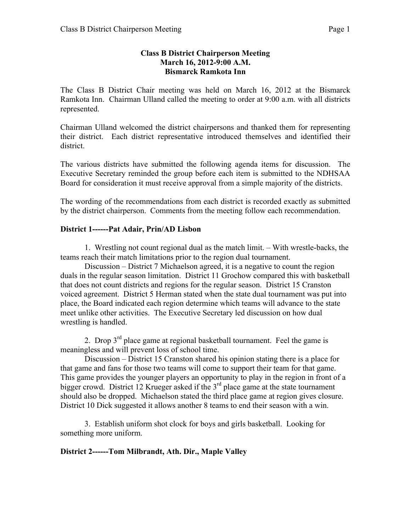### **Class B District Chairperson Meeting March 16, 2012-9:00 A.M. Bismarck Ramkota Inn**

The Class B District Chair meeting was held on March 16, 2012 at the Bismarck Ramkota Inn. Chairman Ulland called the meeting to order at 9:00 a.m. with all districts represented.

Chairman Ulland welcomed the district chairpersons and thanked them for representing their district. Each district representative introduced themselves and identified their district.

The various districts have submitted the following agenda items for discussion. The Executive Secretary reminded the group before each item is submitted to the NDHSAA Board for consideration it must receive approval from a simple majority of the districts.

The wording of the recommendations from each district is recorded exactly as submitted by the district chairperson. Comments from the meeting follow each recommendation.

### **District 1------Pat Adair, Prin/AD Lisbon**

1. Wrestling not count regional dual as the match limit. – With wrestle-backs, the teams reach their match limitations prior to the region dual tournament.

Discussion – District 7 Michaelson agreed, it is a negative to count the region duals in the regular season limitation. District 11 Grochow compared this with basketball that does not count districts and regions for the regular season. District 15 Cranston voiced agreement. District 5 Herman stated when the state dual tournament was put into place, the Board indicated each region determine which teams will advance to the state meet unlike other activities. The Executive Secretary led discussion on how dual wrestling is handled.

2. Drop  $3<sup>rd</sup>$  place game at regional basketball tournament. Feel the game is meaningless and will prevent loss of school time.

Discussion – District 15 Cranston shared his opinion stating there is a place for that game and fans for those two teams will come to support their team for that game. This game provides the younger players an opportunity to play in the region in front of a bigger crowd. District 12 Krueger asked if the  $3<sup>rd</sup>$  place game at the state tournament should also be dropped. Michaelson stated the third place game at region gives closure. District 10 Dick suggested it allows another 8 teams to end their season with a win.

3. Establish uniform shot clock for boys and girls basketball. Looking for something more uniform.

### **District 2------Tom Milbrandt, Ath. Dir., Maple Valley**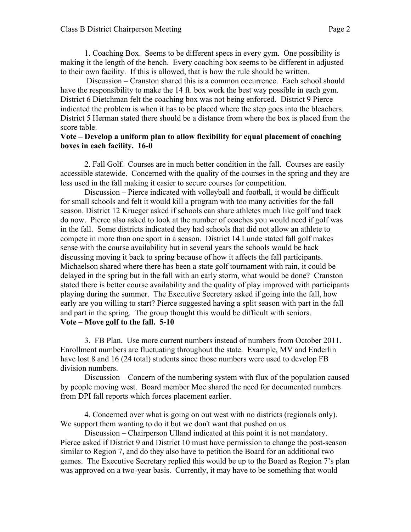1. Coaching Box. Seems to be different specs in every gym. One possibility is making it the length of the bench. Every coaching box seems to be different in adjusted to their own facility. If this is allowed, that is how the rule should be written.

Discussion – Cranston shared this is a common occurrence. Each school should have the responsibility to make the 14 ft. box work the best way possible in each gym. District 6 Dietchman felt the coaching box was not being enforced. District 9 Pierce indicated the problem is when it has to be placed where the step goes into the bleachers. District 5 Herman stated there should be a distance from where the box is placed from the score table.

#### **Vote – Develop a uniform plan to allow flexibility for equal placement of coaching boxes in each facility. 16-0**

2. Fall Golf. Courses are in much better condition in the fall. Courses are easily accessible statewide. Concerned with the quality of the courses in the spring and they are less used in the fall making it easier to secure courses for competition.

Discussion – Pierce indicated with volleyball and football, it would be difficult for small schools and felt it would kill a program with too many activities for the fall season. District 12 Krueger asked if schools can share athletes much like golf and track do now. Pierce also asked to look at the number of coaches you would need if golf was in the fall. Some districts indicated they had schools that did not allow an athlete to compete in more than one sport in a season. District 14 Lunde stated fall golf makes sense with the course availability but in several years the schools would be back discussing moving it back to spring because of how it affects the fall participants. Michaelson shared where there has been a state golf tournament with rain, it could be delayed in the spring but in the fall with an early storm, what would be done? Cranston stated there is better course availability and the quality of play improved with participants playing during the summer. The Executive Secretary asked if going into the fall, how early are you willing to start? Pierce suggested having a split season with part in the fall and part in the spring. The group thought this would be difficult with seniors. **Vote – Move golf to the fall. 5-10**

3. FB Plan. Use more current numbers instead of numbers from October 2011. Enrollment numbers are fluctuating throughout the state. Example, MV and Enderlin have lost 8 and 16 (24 total) students since those numbers were used to develop FB division numbers.

Discussion – Concern of the numbering system with flux of the population caused by people moving west. Board member Moe shared the need for documented numbers from DPI fall reports which forces placement earlier.

4. Concerned over what is going on out west with no districts (regionals only). We support them wanting to do it but we don't want that pushed on us.

Discussion – Chairperson Ulland indicated at this point it is not mandatory. Pierce asked if District 9 and District 10 must have permission to change the post-season similar to Region 7, and do they also have to petition the Board for an additional two games. The Executive Secretary replied this would be up to the Board as Region 7's plan was approved on a two-year basis. Currently, it may have to be something that would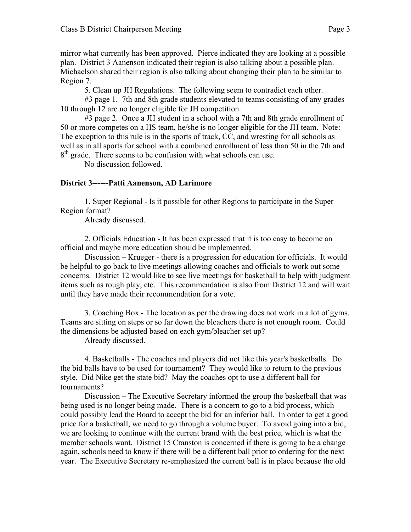mirror what currently has been approved. Pierce indicated they are looking at a possible plan. District 3 Aanenson indicated their region is also talking about a possible plan. Michaelson shared their region is also talking about changing their plan to be similar to Region 7.

5. Clean up JH Regulations. The following seem to contradict each other.

#3 page 1. 7th and 8th grade students elevated to teams consisting of any grades 10 through 12 are no longer eligible for JH competition.

#3 page 2. Once a JH student in a school with a 7th and 8th grade enrollment of 50 or more competes on a HS team, he/she is no longer eligible for the JH team. Note: The exception to this rule is in the sports of track, CC, and wresting for all schools as well as in all sports for school with a combined enrollment of less than 50 in the 7th and  $8<sup>th</sup>$  grade. There seems to be confusion with what schools can use.

No discussion followed.

### **District 3------Patti Aanenson, AD Larimore**

1. Super Regional - Is it possible for other Regions to participate in the Super Region format?

Already discussed.

2. Officials Education - It has been expressed that it is too easy to become an official and maybe more education should be implemented.

Discussion – Krueger - there is a progression for education for officials. It would be helpful to go back to live meetings allowing coaches and officials to work out some concerns. District 12 would like to see live meetings for basketball to help with judgment items such as rough play, etc. This recommendation is also from District 12 and will wait until they have made their recommendation for a vote.

3. Coaching Box - The location as per the drawing does not work in a lot of gyms. Teams are sitting on steps or so far down the bleachers there is not enough room. Could the dimensions be adjusted based on each gym/bleacher set up?

Already discussed.

4. Basketballs - The coaches and players did not like this year's basketballs. Do the bid balls have to be used for tournament? They would like to return to the previous style. Did Nike get the state bid? May the coaches opt to use a different ball for tournaments?

Discussion – The Executive Secretary informed the group the basketball that was being used is no longer being made. There is a concern to go to a bid process, which could possibly lead the Board to accept the bid for an inferior ball. In order to get a good price for a basketball, we need to go through a volume buyer. To avoid going into a bid, we are looking to continue with the current brand with the best price, which is what the member schools want. District 15 Cranston is concerned if there is going to be a change again, schools need to know if there will be a different ball prior to ordering for the next year. The Executive Secretary re-emphasized the current ball is in place because the old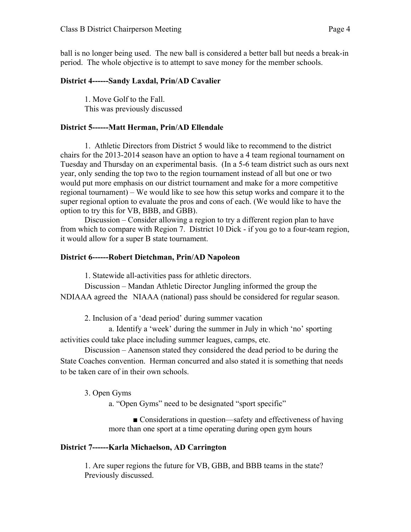ball is no longer being used. The new ball is considered a better ball but needs a break-in period. The whole objective is to attempt to save money for the member schools.

#### **District 4------Sandy Laxdal, Prin/AD Cavalier**

1. Move Golf to the Fall. This was previously discussed

#### **District 5------Matt Herman, Prin/AD Ellendale**

1. Athletic Directors from District 5 would like to recommend to the district chairs for the 2013-2014 season have an option to have a 4 team regional tournament on Tuesday and Thursday on an experimental basis. (In a 5-6 team district such as ours next year, only sending the top two to the region tournament instead of all but one or two would put more emphasis on our district tournament and make for a more competitive regional tournament) – We would like to see how this setup works and compare it to the super regional option to evaluate the pros and cons of each. (We would like to have the option to try this for VB, BBB, and GBB).

Discussion – Consider allowing a region to try a different region plan to have from which to compare with Region 7. District 10 Dick - if you go to a four-team region, it would allow for a super B state tournament.

#### **District 6------Robert Dietchman, Prin/AD Napoleon**

1. Statewide all-activities pass for athletic directors.

Discussion – Mandan Athletic Director Jungling informed the group the NDIAAA agreed the NIAAA (national) pass should be considered for regular season.

2. Inclusion of a 'dead period' during summer vacation

a. Identify a 'week' during the summer in July in which 'no' sporting activities could take place including summer leagues, camps, etc.

Discussion – Aanenson stated they considered the dead period to be during the State Coaches convention. Herman concurred and also stated it is something that needs to be taken care of in their own schools.

3. Open Gyms

a. "Open Gyms" need to be designated "sport specific"

■ Considerations in question—safety and effectiveness of having more than one sport at a time operating during open gym hours

### **District 7------Karla Michaelson, AD Carrington**

1. Are super regions the future for VB, GBB, and BBB teams in the state? Previously discussed.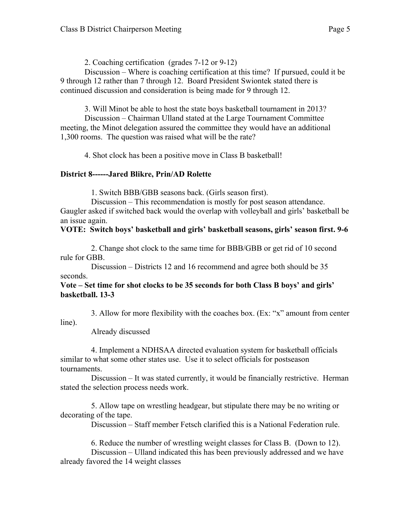2. Coaching certification (grades 7-12 or 9-12)

Discussion – Where is coaching certification at this time? If pursued, could it be 9 through 12 rather than 7 through 12. Board President Swiontek stated there is continued discussion and consideration is being made for 9 through 12.

3. Will Minot be able to host the state boys basketball tournament in 2013?

Discussion – Chairman Ulland stated at the Large Tournament Committee meeting, the Minot delegation assured the committee they would have an additional 1,300 rooms. The question was raised what will be the rate?

4. Shot clock has been a positive move in Class B basketball!

# **District 8------Jared Blikre, Prin/AD Rolette**

1. Switch BBB/GBB seasons back. (Girls season first).

Discussion – This recommendation is mostly for post season attendance. Gaugler asked if switched back would the overlap with volleyball and girls' basketball be an issue again.

# **VOTE: Switch boys' basketball and girls' basketball seasons, girls' season first. 9-6**

2. Change shot clock to the same time for BBB/GBB or get rid of 10 second rule for GBB.

Discussion – Districts 12 and 16 recommend and agree both should be 35 seconds.

### **Vote – Set time for shot clocks to be 35 seconds for both Class B boys' and girls' basketball. 13-3**

3. Allow for more flexibility with the coaches box. (Ex: "x" amount from center line).

Already discussed

4. Implement a NDHSAA directed evaluation system for basketball officials similar to what some other states use. Use it to select officials for postseason tournaments.

Discussion – It was stated currently, it would be financially restrictive. Herman stated the selection process needs work.

5. Allow tape on wrestling headgear, but stipulate there may be no writing or decorating of the tape.

Discussion – Staff member Fetsch clarified this is a National Federation rule.

6. Reduce the number of wrestling weight classes for Class B. (Down to 12). Discussion – Ulland indicated this has been previously addressed and we have already favored the 14 weight classes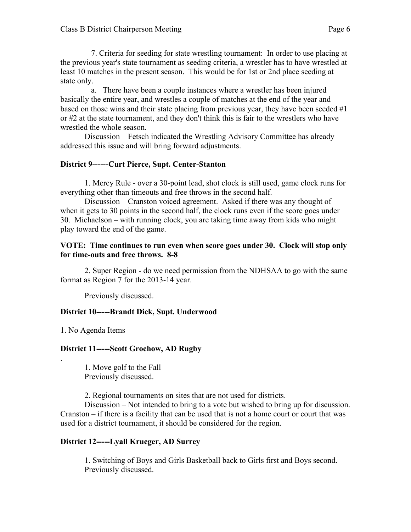7. Criteria for seeding for state wrestling tournament: In order to use placing at the previous year's state tournament as seeding criteria, a wrestler has to have wrestled at least 10 matches in the present season. This would be for 1st or 2nd place seeding at state only.

a. There have been a couple instances where a wrestler has been injured basically the entire year, and wrestles a couple of matches at the end of the year and based on those wins and their state placing from previous year, they have been seeded #1 or #2 at the state tournament, and they don't think this is fair to the wrestlers who have wrestled the whole season.

Discussion – Fetsch indicated the Wrestling Advisory Committee has already addressed this issue and will bring forward adjustments.

# **District 9------Curt Pierce, Supt. Center-Stanton**

1. Mercy Rule - over a 30-point lead, shot clock is still used, game clock runs for everything other than timeouts and free throws in the second half.

Discussion – Cranston voiced agreement. Asked if there was any thought of when it gets to 30 points in the second half, the clock runs even if the score goes under 30. Michaelson – with running clock, you are taking time away from kids who might play toward the end of the game.

#### **VOTE: Time continues to run even when score goes under 30. Clock will stop only for time-outs and free throws. 8-8**

2. Super Region - do we need permission from the NDHSAA to go with the same format as Region 7 for the 2013-14 year.

Previously discussed.

# **District 10-----Brandt Dick, Supt. Underwood**

1. No Agenda Items

.

# **District 11-----Scott Grochow, AD Rugby**

1. Move golf to the Fall Previously discussed.

2. Regional tournaments on sites that are not used for districts.

Discussion – Not intended to bring to a vote but wished to bring up for discussion. Cranston – if there is a facility that can be used that is not a home court or court that was used for a district tournament, it should be considered for the region.

# **District 12-----Lyall Krueger, AD Surrey**

1. Switching of Boys and Girls Basketball back to Girls first and Boys second. Previously discussed.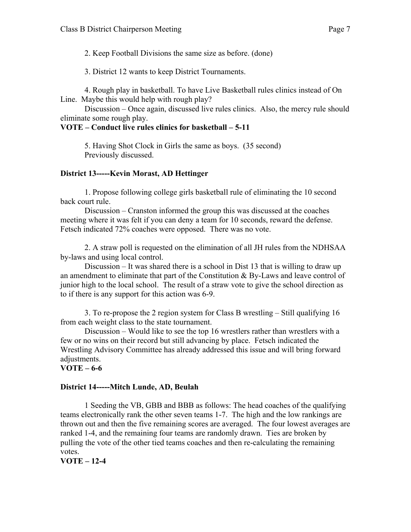2. Keep Football Divisions the same size as before. (done)

3. District 12 wants to keep District Tournaments.

4. Rough play in basketball. To have Live Basketball rules clinics instead of On Line. Maybe this would help with rough play?

Discussion – Once again, discussed live rules clinics. Also, the mercy rule should eliminate some rough play.

### **VOTE – Conduct live rules clinics for basketball – 5-11**

5. Having Shot Clock in Girls the same as boys. (35 second) Previously discussed.

# **District 13-----Kevin Morast, AD Hettinger**

1. Propose following college girls basketball rule of eliminating the 10 second back court rule.

Discussion – Cranston informed the group this was discussed at the coaches meeting where it was felt if you can deny a team for 10 seconds, reward the defense. Fetsch indicated 72% coaches were opposed. There was no vote.

2. A straw poll is requested on the elimination of all JH rules from the NDHSAA by-laws and using local control.

Discussion – It was shared there is a school in Dist 13 that is willing to draw up an amendment to eliminate that part of the Constitution & By-Laws and leave control of junior high to the local school. The result of a straw vote to give the school direction as to if there is any support for this action was 6-9.

3. To re-propose the 2 region system for Class B wrestling – Still qualifying 16 from each weight class to the state tournament.

Discussion – Would like to see the top 16 wrestlers rather than wrestlers with a few or no wins on their record but still advancing by place. Fetsch indicated the Wrestling Advisory Committee has already addressed this issue and will bring forward adiustments.

### **VOTE – 6-6**

### **District 14-----Mitch Lunde, AD, Beulah**

1 Seeding the VB, GBB and BBB as follows: The head coaches of the qualifying teams electronically rank the other seven teams 1-7. The high and the low rankings are thrown out and then the five remaining scores are averaged. The four lowest averages are ranked 1-4, and the remaining four teams are randomly drawn. Ties are broken by pulling the vote of the other tied teams coaches and then re-calculating the remaining votes.

**VOTE – 12-4**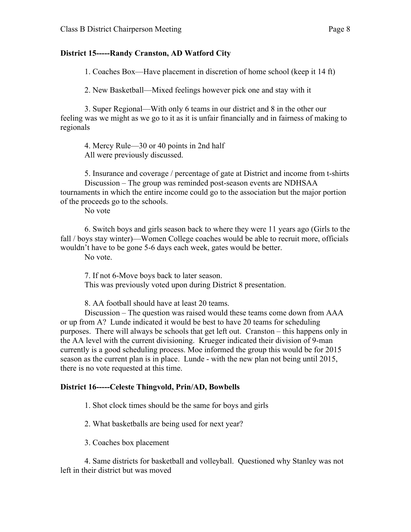#### **District 15-----Randy Cranston, AD Watford City**

1. Coaches Box—Have placement in discretion of home school (keep it 14 ft)

2. New Basketball—Mixed feelings however pick one and stay with it

3. Super Regional—With only 6 teams in our district and 8 in the other our feeling was we might as we go to it as it is unfair financially and in fairness of making to regionals

4. Mercy Rule—30 or 40 points in 2nd half All were previously discussed.

5. Insurance and coverage / percentage of gate at District and income from t-shirts Discussion – The group was reminded post-season events are NDHSAA tournaments in which the entire income could go to the association but the major portion of the proceeds go to the schools.

No vote

6. Switch boys and girls season back to where they were 11 years ago (Girls to the fall / boys stay winter)—Women College coaches would be able to recruit more, officials wouldn't have to be gone 5-6 days each week, gates would be better.

No vote.

7. If not 6-Move boys back to later season. This was previously voted upon during District 8 presentation.

8. AA football should have at least 20 teams.

Discussion – The question was raised would these teams come down from AAA or up from A? Lunde indicated it would be best to have 20 teams for scheduling purposes. There will always be schools that get left out. Cranston – this happens only in the AA level with the current divisioning. Krueger indicated their division of 9-man currently is a good scheduling process. Moe informed the group this would be for 2015 season as the current plan is in place. Lunde - with the new plan not being until 2015, there is no vote requested at this time.

#### **District 16-----Celeste Thingvold, Prin/AD, Bowbells**

1. Shot clock times should be the same for boys and girls

2. What basketballs are being used for next year?

3. Coaches box placement

4. Same districts for basketball and volleyball. Questioned why Stanley was not left in their district but was moved